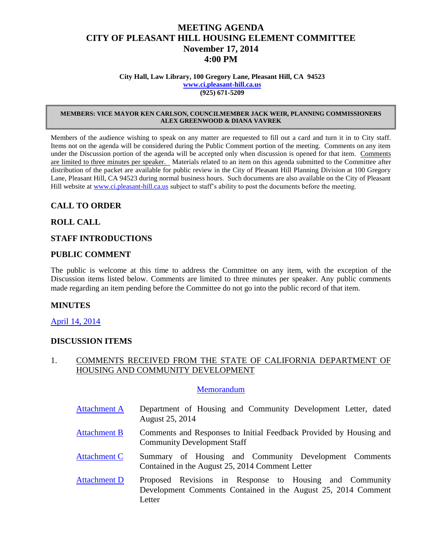# **MEETING AGENDA CITY OF PLEASANT HILL HOUSING ELEMENT COMMITTEE November 17, 2014 4:00 PM**

**City Hall, Law Library, 100 Gregory Lane, Pleasant Hill, CA 94523 [www.ci.pleasant-hill.ca.us](http://www.ci.pleasant-hill.ca.us/) (925) 671-5209**

#### **MEMBERS: VICE MAYOR KEN CARLSON, COUNCILMEMBER JACK WEIR, PLANNING COMMISSIONERS ALEX GREENWOOD & DIANA VAVREK**

Members of the audience wishing to speak on any matter are requested to fill out a card and turn it in to City staff. Items not on the agenda will be considered during the Public Comment portion of the meeting. Comments on any item under the Discussion portion of the agenda will be accepted only when discussion is opened for that item. Comments are limited to three minutes per speaker. Materials related to an item on this agenda submitted to the Committee after distribution of the packet are available for public review in the City of Pleasant Hill Planning Division at 100 Gregory Lane, Pleasant Hill, CA 94523 during normal business hours. Such documents are also available on the City of Pleasant Hill website at [www.ci.pleasant-hill.ca.us](http://www.ci.pleasant-hill.ca.us/) subject to staff's ability to post the documents before the meeting.

## **CALL TO ORDER**

### **ROLL CALL**

### **STAFF INTRODUCTIONS**

### **PUBLIC COMMENT**

The public is welcome at this time to address the Committee on any item, with the exception of the Discussion items listed below. Comments are limited to three minutes per speaker. Any public comments made regarding an item pending before the Committee do not go into the public record of that item.

#### **MINUTES**

April [14, 2014](http://www.ci.pleasant-hill.ca.us/DocumentCenter/View/13401)

### **DISCUSSION ITEMS**

### 1. COMMENTS RECEIVED FROM THE STATE OF CALIFORNIA DEPARTMENT OF HOUSING AND COMMUNITY DEVELOPMENT

#### **[Memorandum](http://www.ci.pleasant-hill.ca.us/DocumentCenter/View/13400)**

- [Attachment A](http://www.ci.pleasant-hill.ca.us/DocumentCenter/View/13396) Department of Housing and Community Development Letter, dated August 25, 2014
- [Attachment B](http://www.ci.pleasant-hill.ca.us/DocumentCenter/View/13397) Comments and Responses to Initial Feedback Provided by Housing and Community Development Staff
- [Attachment C](http://www.ci.pleasant-hill.ca.us/DocumentCenter/View/13398) Summary of Housing and Community Development Comments Contained in the August 25, 2014 Comment Letter
- [Attachment D](http://www.ci.pleasant-hill.ca.us/DocumentCenter/View/13399) Proposed Revisions in Response to Housing and Community Development Comments Contained in the August 25, 2014 Comment Letter